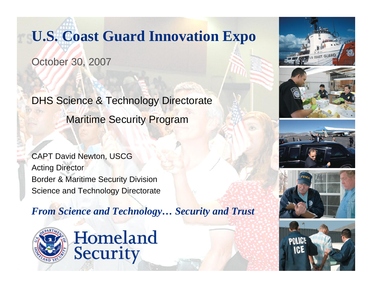# **U.S. Coast Guard Innovation Expo**

October 30, 2007

DHS Science & Technology Directorate Maritime Security Program

CAPT David Newton, USCG Acting Director Border & Maritime Security Division Science and Technology Directorate

*From Science and Technology… Security and Trust*



Homeland Security







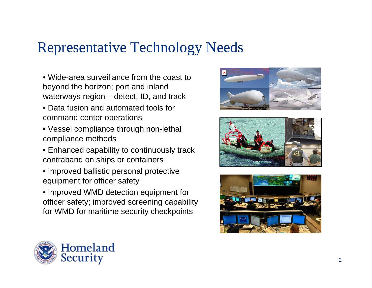# Representative Technology Needs

- Wide-area surveillance from the coast to beyond the horizon; port and inland waterways region – detect, ID, and track
- Data fusion and automated tools for command center operations
- Vessel compliance through non-lethal compliance methods
- Enhanced capability to continuously track contraband on ships or containers
- Improved ballistic personal protective equipment for officer safety
- Improved WMD detection equipment for officer safety; improved screening capability for WMD for maritime security checkpoints







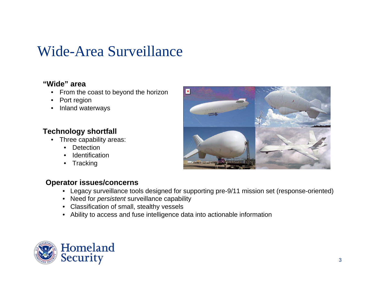# Wide-Area Surveillance

### **"Wide" area**

- From the coast to beyond the horizon
- Port region
- Inland waterways

### **Technology shortfall**

- Three capability areas:
	- Detection
	- **Identification**
	- **Tracking**



#### **Operator issues/concerns**

- $\bullet$ Legacy surveillance tools designed for supporting pre-9/11 mission set (response-oriented)
- Need for *persistent* surveillance capability
- Classification of small, stealthy vessels
- Ability to access and fuse intelligence data into actionable information

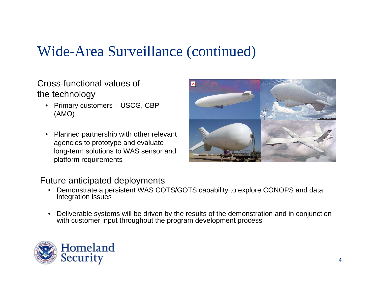# Wide-Area Surveillance (continued)

Cross-functional values of the technology

- Primary customers USCG, CBP (AMO)
- Planned partnership with other relevant agencies to prototype and evaluate long-term solutions to WAS sensor and platform requirements



- Demonstrate a persistent WAS COTS/GOTS capability to explore CONOPS and data integration issues
- Deliverable systems will be driven by the results of the demonstration and in conjunction with customer input throughout the program development process

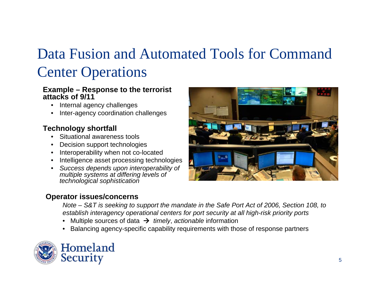# Data Fusion and Automated Tools for Command Center Operations

#### **Example – Response to the terrorist attacks of 9/11**

- Internal agency challenges
- Inter-agency coordination challenges

### **Technology shortfall**

- Situational awareness tools
- Decision support technologies
- Interoperability when not co-located
- Intelligence asset processing technologies
- *Success depends upon interoperability of multiple systems at differing levels of technological sophistication*

#### **Operator issues/concerns**

*Note – S&T is seeking to support the mandate in the Safe Port Act of 2006, Section 108, to establish interagency operational centers for port security at all high-risk priority ports*

- •Multiple sources of data Æ *timely*, *actionable* information
- •Balancing agency-specific capability requirements with those of response partners

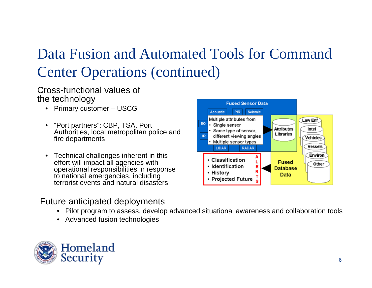# Data Fusion and Automated Tools for Command Center Operations (continued)

#### Cross-functional values of the technology

- Primary customer USCG
- "Port partners": CBP, TSA, Port Authorities, local metropolitan police and fire departments
- Technical challenges inherent in this effort will impact all agencies with operational responsibilities in response to national emergencies, including terrorist events and natural disasters

- Pilot program to assess, develop advanced situational awareness and collaboration tools
- Advanced fusion technologies



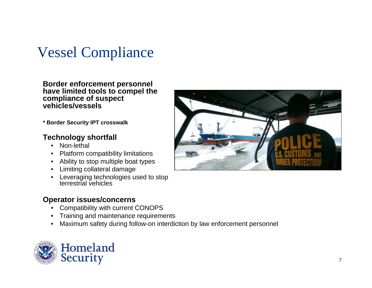# Vessel Compliance

**Border enforcement personnel have limited tools to compel the compliance of suspect vehicles/vessels**

**\* Border Security IPT crosswalk**

#### **Technology shortfall**

- Non-lethal
- Platform compatibility limitations
- Ability to stop multiple boat types
- Limiting collateral damage
- Leveraging technologies used to stop terrestrial vehicles

#### **Operator issues/concerns**

- Compatibility with current CONOPS
- Training and maintenance requirements
- Maximum safety during follow-on interdiction by law enforcement personnel



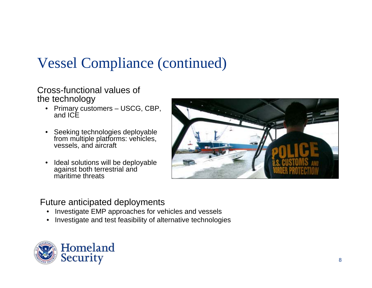# Vessel Compliance (continued)

#### Cross-functional values of the technology

- Primary customers USCG, CBP, and ICE
- Seeking technologies deployable from multiple platforms: vehicles, vessels, and aircraft
- Ideal solutions will be deployable against both terrestrial and maritime threats



- •Investigate EMP approaches for vehicles and vessels
- •Investigate and test feasibility of alternative technologies

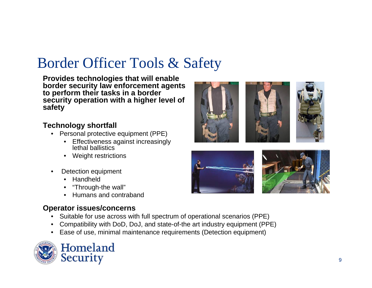# Border Officer Tools & Safety

**Provides technologies that will enable border security law enforcement agents to perform their tasks in a border security operation with a higher level of safety**

#### **Technology shortfall**

- Personal protective equipment (PPE)
	- Effectiveness against increasingly lethal ballistics
	- Weight restrictions
- Detection equipment
	- Handheld
	- "Through-the wall"
	- Humans and contraband

### **Operator issues/concerns**

- Suitable for use across with full spectrum of operational scenarios (PPE)
- Compatibility with DoD, DoJ, and state-of-the art industry equipment (PPE)
- Ease of use, minimal maintenance requirements (Detection equipment)



Homeland Security



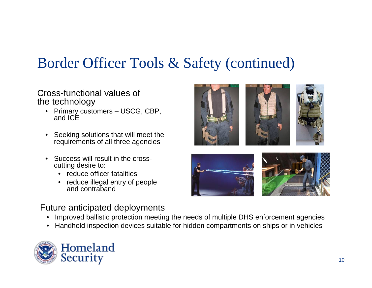### Border Officer Tools & Safety (continued)

#### Cross-functional values of the technology

- Primary customers USCG, CBP, and ICE
- Seeking solutions that will meet the requirements of all three agencies
- Success will result in the crosscutting desire to:
	- reduce officer fatalities
	- reduce illegal entry of people and contraband

- •Improved ballistic protection meeting the needs of multiple DHS enforcement agencies
- •Handheld inspection devices suitable for hidden compartments on ships or in vehicles